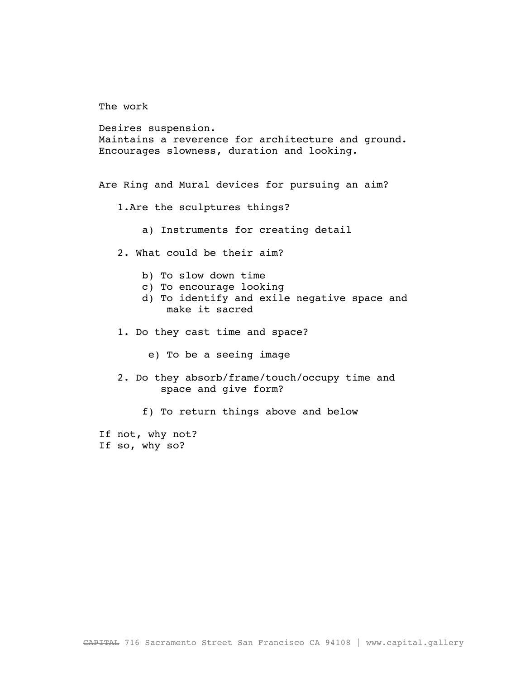The work

Desires suspension. Maintains a reverence for architecture and ground. Encourages slowness, duration and looking.

Are Ring and Mural devices for pursuing an aim?

- 1.Are the sculptures things?
	- a) Instruments for creating detail
- 2. What could be their aim?
	- b) To slow down time
	- c) To encourage looking
	- d) To identify and exile negative space and make it sacred
- 1. Do they cast time and space?
	- e) To be a seeing image
- 2. Do they absorb/frame/touch/occupy time and space and give form?
	- f) To return things above and below

If not, why not? If so, why so?